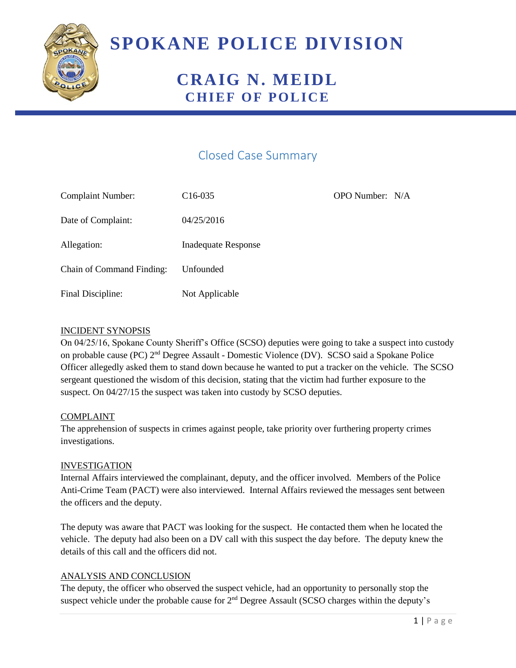

# **SPOKANE POLICE DIVISION**

## **CRAIG N. MEIDL CHIEF OF POLICE**

### Closed Case Summary

| <b>Complaint Number:</b>  | $C16-035$                  | OPO Number: N/A |  |
|---------------------------|----------------------------|-----------------|--|
| Date of Complaint:        | 04/25/2016                 |                 |  |
| Allegation:               | <b>Inadequate Response</b> |                 |  |
| Chain of Command Finding: | Unfounded                  |                 |  |
| Final Discipline:         | Not Applicable             |                 |  |

#### INCIDENT SYNOPSIS

On 04/25/16, Spokane County Sheriff's Office (SCSO) deputies were going to take a suspect into custody on probable cause (PC) 2<sup>nd</sup> Degree Assault - Domestic Violence (DV). SCSO said a Spokane Police Officer allegedly asked them to stand down because he wanted to put a tracker on the vehicle. The SCSO sergeant questioned the wisdom of this decision, stating that the victim had further exposure to the suspect. On 04/27/15 the suspect was taken into custody by SCSO deputies.

#### COMPLAINT

The apprehension of suspects in crimes against people, take priority over furthering property crimes investigations.

#### INVESTIGATION

Internal Affairs interviewed the complainant, deputy, and the officer involved. Members of the Police Anti-Crime Team (PACT) were also interviewed. Internal Affairs reviewed the messages sent between the officers and the deputy.

The deputy was aware that PACT was looking for the suspect. He contacted them when he located the vehicle. The deputy had also been on a DV call with this suspect the day before. The deputy knew the details of this call and the officers did not.

#### ANALYSIS AND CONCLUSION

The deputy, the officer who observed the suspect vehicle, had an opportunity to personally stop the suspect vehicle under the probable cause for 2<sup>nd</sup> Degree Assault (SCSO charges within the deputy's